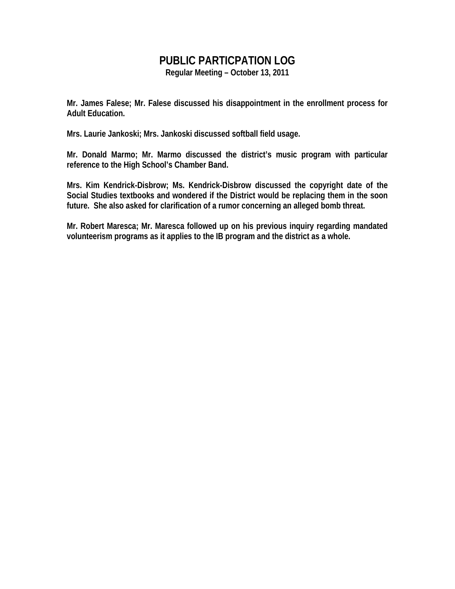# **PUBLIC PARTICPATION LOG**

**Regular Meeting – October 13, 2011** 

**Mr. James Falese; Mr. Falese discussed his disappointment in the enrollment process for Adult Education.** 

**Mrs. Laurie Jankoski; Mrs. Jankoski discussed softball field usage.** 

**Mr. Donald Marmo; Mr. Marmo discussed the district's music program with particular reference to the High School's Chamber Band.** 

**Mrs. Kim Kendrick-Disbrow; Ms. Kendrick-Disbrow discussed the copyright date of the Social Studies textbooks and wondered if the District would be replacing them in the soon future. She also asked for clarification of a rumor concerning an alleged bomb threat.** 

**Mr. Robert Maresca; Mr. Maresca followed up on his previous inquiry regarding mandated volunteerism programs as it applies to the IB program and the district as a whole.**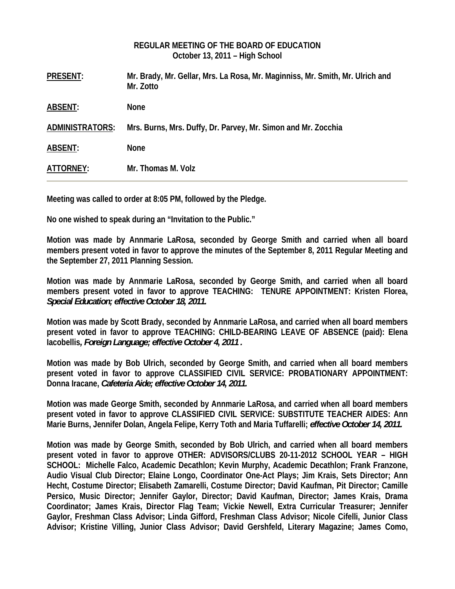|                        | REGULAR MEETING OF THE BOARD OF EDUCATION<br>October 13, 2011 – High School                |
|------------------------|--------------------------------------------------------------------------------------------|
| <b>PRESENT:</b>        | Mr. Brady, Mr. Gellar, Mrs. La Rosa, Mr. Maginniss, Mr. Smith, Mr. Ulrich and<br>Mr. Zotto |
| <b>ABSENT:</b>         | <b>None</b>                                                                                |
| <b>ADMINISTRATORS:</b> | Mrs. Burns, Mrs. Duffy, Dr. Parvey, Mr. Simon and Mr. Zocchia                              |
| <b>ABSENT:</b>         | <b>None</b>                                                                                |
| ATTORNEY:              | Mr. Thomas M. Volz                                                                         |

**Meeting was called to order at 8:05 PM, followed by the Pledge.** 

**No one wished to speak during an "Invitation to the Public."** 

**Motion was made by Annmarie LaRosa, seconded by George Smith and carried when all board members present voted in favor to approve the minutes of the September 8, 2011 Regular Meeting and the September 27, 2011 Planning Session.** 

**Motion was made by Annmarie LaRosa, seconded by George Smith, and carried when all board members present voted in favor to approve TEACHING: TENURE APPOINTMENT: Kristen Florea,**  *Special Education; effective October 18, 2011.* 

**Motion was made by Scott Brady, seconded by Annmarie LaRosa, and carried when all board members present voted in favor to approve TEACHING: CHILD-BEARING LEAVE OF ABSENCE (paid): Elena Iacobellis***, Foreign Language; effective October 4, 2011 .* 

**Motion was made by Bob Ulrich, seconded by George Smith, and carried when all board members present voted in favor to approve CLASSIFIED CIVIL SERVICE: PROBATIONARY APPOINTMENT: Donna Iracane,** *Cafeteria Aide; effective October 14, 2011.* 

**Motion was made George Smith, seconded by Annmarie LaRosa, and carried when all board members present voted in favor to approve CLASSIFIED CIVIL SERVICE: SUBSTITUTE TEACHER AIDES: Ann Marie Burns, Jennifer Dolan, Angela Felipe, Kerry Toth and Maria Tuffarelli;** *effective October 14, 2011.* 

**Motion was made by George Smith, seconded by Bob Ulrich, and carried when all board members present voted in favor to approve OTHER: ADVISORS/CLUBS 20-11-2012 SCHOOL YEAR – HIGH SCHOOL: Michelle Falco, Academic Decathlon; Kevin Murphy, Academic Decathlon; Frank Franzone, Audio Visual Club Director; Elaine Longo, Coordinator One-Act Plays; Jim Krais, Sets Director; Ann Hecht, Costume Director; Elisabeth Zamarelli, Costume Director; David Kaufman, Pit Director; Camille Persico, Music Director; Jennifer Gaylor, Director; David Kaufman, Director; James Krais, Drama Coordinator; James Krais, Director Flag Team; Vickie Newell, Extra Curricular Treasurer; Jennifer Gaylor, Freshman Class Advisor; Linda Gifford, Freshman Class Advisor; Nicole Cifelli, Junior Class Advisor; Kristine Villing, Junior Class Advisor; David Gershfeld, Literary Magazine; James Como,**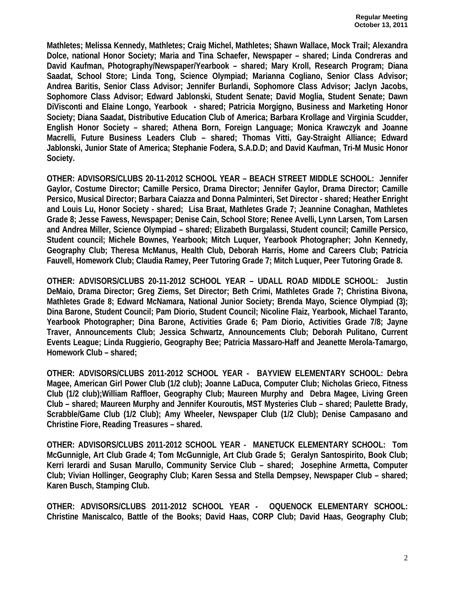**Mathletes; Melissa Kennedy, Mathletes; Craig Michel, Mathletes; Shawn Wallace, Mock Trail; Alexandra Dolce, national Honor Society; Maria and Tina Schaefer, Newspaper – shared; Linda Condreras and David Kaufman, Photography/Newspaper/Yearbook – shared; Mary Kroll, Research Program; Diana Saadat, School Store; Linda Tong, Science Olympiad; Marianna Cogliano, Senior Class Advisor; Andrea Baritis, Senior Class Advisor; Jennifer Burlandi, Sophomore Class Advisor; Jaclyn Jacobs, Sophomore Class Advisor; Edward Jablonski, Student Senate; David Moglia, Student Senate; Dawn DiVisconti and Elaine Longo, Yearbook - shared; Patricia Morgigno, Business and Marketing Honor Society; Diana Saadat, Distributive Education Club of America; Barbara Krollage and Virginia Scudder, English Honor Society – shared; Athena Born, Foreign Language; Monica Krawczyk and Joanne Macrelli, Future Business Leaders Club – shared; Thomas Vitti, Gay-Straight Alliance; Edward Jablonski, Junior State of America; Stephanie Fodera, S.A.D.D; and David Kaufman, Tri-M Music Honor Society.** 

**OTHER: ADVISORS/CLUBS 20-11-2012 SCHOOL YEAR – BEACH STREET MIDDLE SCHOOL: Jennifer Gaylor, Costume Director; Camille Persico, Drama Director; Jennifer Gaylor, Drama Director; Camille Persico, Musical Director; Barbara Caiazza and Donna Palminteri, Set Director - shared; Heather Enright and Louis Lu, Honor Society - shared; Lisa Braat, Mathletes Grade 7; Jeannine Conaghan, Mathletes Grade 8; Jesse Fawess, Newspaper; Denise Cain, School Store; Renee Avelli, Lynn Larsen, Tom Larsen and Andrea Miller, Science Olympiad – shared; Elizabeth Burgalassi, Student council; Camille Persico, Student council; Michele Bownes, Yearbook; Mitch Luquer, Yearbook Photographer; John Kennedy, Geography Club; Theresa McManus, Health Club, Deborah Harris, Home and Careers Club; Patricia Fauvell, Homework Club; Claudia Ramey, Peer Tutoring Grade 7; Mitch Luquer, Peer Tutoring Grade 8.** 

**OTHER: ADVISORS/CLUBS 20-11-2012 SCHOOL YEAR – UDALL ROAD MIDDLE SCHOOL: Justin DeMaio, Drama Director; Greg Ziems, Set Director; Beth Crimi, Mathletes Grade 7; Christina Bivona, Mathletes Grade 8; Edward McNamara, National Junior Society; Brenda Mayo, Science Olympiad (3); Dina Barone, Student Council; Pam Diorio, Student Council; Nicoline Flaiz, Yearbook, Michael Taranto, Yearbook Photographer; Dina Barone, Activities Grade 6; Pam Diorio, Activities Grade 7/8; Jayne Traver, Announcements Club; Jessica Schwartz, Announcements Club; Deborah Pulitano, Current Events League; Linda Ruggierio, Geography Bee; Patricia Massaro-Haff and Jeanette Merola-Tamargo, Homework Club – shared;** 

**OTHER: ADVISORS/CLUBS 2011-2012 SCHOOL YEAR - BAYVIEW ELEMENTARY SCHOOL: Debra Magee, American Girl Power Club (1/2 club); Joanne LaDuca, Computer Club; Nicholas Grieco, Fitness Club (1/2 club);William Raffloer, Geography Club; Maureen Murphy and Debra Magee, Living Green Club – shared; Maureen Murphy and Jennifer Kouroutis, MST Mysteries Club – shared; Paulette Brady, Scrabble/Game Club (1/2 Club); Amy Wheeler, Newspaper Club (1/2 Club); Denise Campasano and Christine Fiore, Reading Treasures – shared.** 

**OTHER: ADVISORS/CLUBS 2011-2012 SCHOOL YEAR - MANETUCK ELEMENTARY SCHOOL: Tom McGunnigle, Art Club Grade 4; Tom McGunnigle, Art Club Grade 5; Geralyn Santospirito, Book Club; Kerri Ierardi and Susan Marullo, Community Service Club – shared; Josephine Armetta, Computer Club; Vivian Hollinger, Geography Club; Karen Sessa and Stella Dempsey, Newspaper Club – shared; Karen Busch, Stamping Club.** 

**OTHER: ADVISORS/CLUBS 2011-2012 SCHOOL YEAR - OQUENOCK ELEMENTARY SCHOOL: Christine Maniscalco, Battle of the Books; David Haas, CORP Club; David Haas, Geography Club;**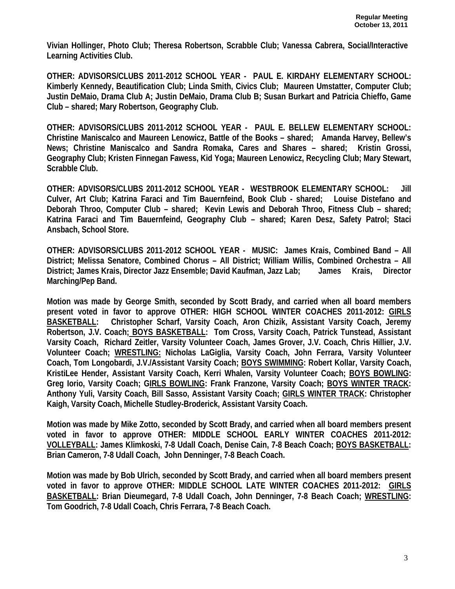**Vivian Hollinger, Photo Club; Theresa Robertson, Scrabble Club; Vanessa Cabrera, Social/Interactive Learning Activities Club.** 

**OTHER: ADVISORS/CLUBS 2011-2012 SCHOOL YEAR - PAUL E. KIRDAHY ELEMENTARY SCHOOL: Kimberly Kennedy, Beautification Club; Linda Smith, Civics Club; Maureen Umstatter, Computer Club; Justin DeMaio, Drama Club A; Justin DeMaio, Drama Club B; Susan Burkart and Patricia Chieffo, Game Club – shared; Mary Robertson, Geography Club.** 

**OTHER: ADVISORS/CLUBS 2011-2012 SCHOOL YEAR - PAUL E. BELLEW ELEMENTARY SCHOOL: Christine Maniscalco and Maureen Lenowicz, Battle of the Books – shared; Amanda Harvey, Bellew's News; Christine Maniscalco and Sandra Romaka, Cares and Shares – shared; Kristin Grossi, Geography Club; Kristen Finnegan Fawess, Kid Yoga; Maureen Lenowicz, Recycling Club; Mary Stewart, Scrabble Club.** 

**OTHER: ADVISORS/CLUBS 2011-2012 SCHOOL YEAR - WESTBROOK ELEMENTARY SCHOOL: Jill Culver, Art Club; Katrina Faraci and Tim Bauernfeind, Book Club - shared; Louise Distefano and Deborah Throo, Computer Club – shared; Kevin Lewis and Deborah Throo, Fitness Club – shared; Katrina Faraci and Tim Bauernfeind, Geography Club – shared; Karen Desz, Safety Patrol; Staci Ansbach, School Store.** 

**OTHER: ADVISORS/CLUBS 2011-2012 SCHOOL YEAR - MUSIC: James Krais, Combined Band – All District; Melissa Senatore, Combined Chorus – All District; William Willis, Combined Orchestra – All**  District; James Krais, Director Jazz Ensemble; David Kaufman, Jazz Lab; James Krais, Director **Marching/Pep Band.** 

**Motion was made by George Smith, seconded by Scott Brady, and carried when all board members present voted in favor to approve OTHER: HIGH SCHOOL WINTER COACHES 2011-2012: GIRLS BASKETBALL: Christopher Scharf, Varsity Coach, Aron Chizik, Assistant Varsity Coach, Jeremy Robertson, J.V. Coach; BOYS BASKETBALL: Tom Cross, Varsity Coach, Patrick Tunstead, Assistant Varsity Coach, Richard Zeitler, Varsity Volunteer Coach, James Grover, J.V. Coach, Chris Hillier, J.V. Volunteer Coach; WRESTLING: Nicholas LaGiglia, Varsity Coach, John Ferrara, Varsity Volunteer Coach, Tom Longobardi, J.V./Assistant Varsity Coach; BOYS SWIMMING: Robert Kollar, Varsity Coach, KristiLee Hender, Assistant Varsity Coach, Kerri Whalen, Varsity Volunteer Coach; BOYS BOWLING: Greg Iorio, Varsity Coach; GIRLS BOWLING: Frank Franzone, Varsity Coach; BOYS WINTER TRACK: Anthony Yuli, Varsity Coach, Bill Sasso, Assistant Varsity Coach; GIRLS WINTER TRACK: Christopher Kaigh, Varsity Coach, Michelle Studley-Broderick, Assistant Varsity Coach.** 

**Motion was made by Mike Zotto, seconded by Scott Brady, and carried when all board members present voted in favor to approve OTHER: MIDDLE SCHOOL EARLY WINTER COACHES 2011-2012: VOLLEYBALL: James Klimkoski, 7-8 Udall Coach, Denise Cain, 7-8 Beach Coach; BOYS BASKETBALL: Brian Cameron, 7-8 Udall Coach, John Denninger, 7-8 Beach Coach.** 

**Motion was made by Bob Ulrich, seconded by Scott Brady, and carried when all board members present voted in favor to approve OTHER: MIDDLE SCHOOL LATE WINTER COACHES 2011-2012: GIRLS BASKETBALL: Brian Dieumegard, 7-8 Udall Coach, John Denninger, 7-8 Beach Coach; WRESTLING: Tom Goodrich, 7-8 Udall Coach, Chris Ferrara, 7-8 Beach Coach.**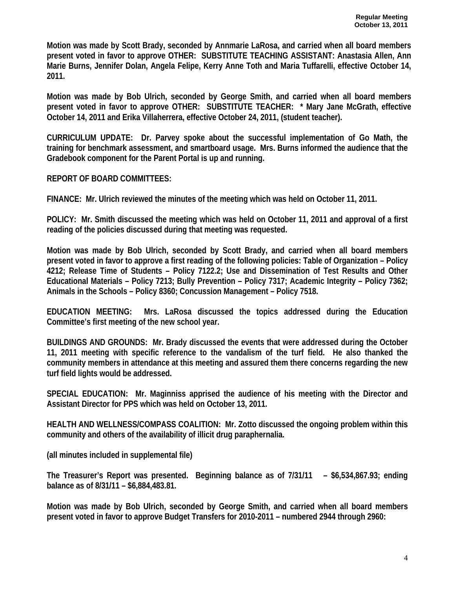**Motion was made by Scott Brady, seconded by Annmarie LaRosa, and carried when all board members present voted in favor to approve OTHER: SUBSTITUTE TEACHING ASSISTANT: Anastasia Allen, Ann Marie Burns, Jennifer Dolan, Angela Felipe, Kerry Anne Toth and Maria Tuffarelli, effective October 14, 2011.** 

**Motion was made by Bob Ulrich, seconded by George Smith, and carried when all board members present voted in favor to approve OTHER: SUBSTITUTE TEACHER: \* Mary Jane McGrath, effective October 14, 2011 and Erika Villaherrera, effective October 24, 2011, (student teacher).** 

**CURRICULUM UPDATE: Dr. Parvey spoke about the successful implementation of Go Math, the training for benchmark assessment, and smartboard usage. Mrs. Burns informed the audience that the Gradebook component for the Parent Portal is up and running.** 

**REPORT OF BOARD COMMITTEES:** 

**FINANCE: Mr. Ulrich reviewed the minutes of the meeting which was held on October 11, 2011.** 

**POLICY: Mr. Smith discussed the meeting which was held on October 11, 2011 and approval of a first reading of the policies discussed during that meeting was requested.** 

**Motion was made by Bob Ulrich, seconded by Scott Brady, and carried when all board members present voted in favor to approve a first reading of the following policies: Table of Organization – Policy 4212; Release Time of Students – Policy 7122.2; Use and Dissemination of Test Results and Other Educational Materials – Policy 7213; Bully Prevention – Policy 7317; Academic Integrity – Policy 7362; Animals in the Schools – Policy 8360; Concussion Management – Policy 7518.** 

**EDUCATION MEETING: Mrs. LaRosa discussed the topics addressed during the Education Committee's first meeting of the new school year.** 

**BUILDINGS AND GROUNDS: Mr. Brady discussed the events that were addressed during the October 11, 2011 meeting with specific reference to the vandalism of the turf field. He also thanked the community members in attendance at this meeting and assured them there concerns regarding the new turf field lights would be addressed.** 

**SPECIAL EDUCATION: Mr. Maginniss apprised the audience of his meeting with the Director and Assistant Director for PPS which was held on October 13, 2011.** 

**HEALTH AND WELLNESS/COMPASS COALITION: Mr. Zotto discussed the ongoing problem within this community and others of the availability of illicit drug paraphernalia.** 

**(all minutes included in supplemental file)** 

**The Treasurer's Report was presented. Beginning balance as of 7/31/11 – \$6,534,867.93; ending balance as of 8/31/11 – \$6,884,483.81.** 

**Motion was made by Bob Ulrich, seconded by George Smith, and carried when all board members present voted in favor to approve Budget Transfers for 2010-2011 – numbered 2944 through 2960:**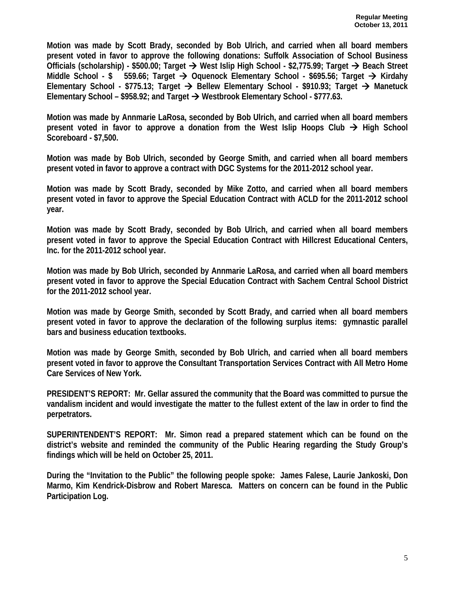**Motion was made by Scott Brady, seconded by Bob Ulrich, and carried when all board members present voted in favor to approve the following donations: Suffolk Association of School Business Officials (scholarship) - \$500.00; Target → West Islip High School - \$2,775.99; Target → Beach Street Middle School - \$ 559.66; Target** Æ **Oquenock Elementary School - \$695.56; Target** Æ **Kirdahy**  Elementary School - \$775.13; Target → Bellew Elementary School - \$910.93; Target → Manetuck **Elementary School – \$958.92; and Target** Æ **Westbrook Elementary School - \$777.63.** 

**Motion was made by Annmarie LaRosa, seconded by Bob Ulrich, and carried when all board members present voted in favor to approve a donation from the West Islip Hoops Club**  $\rightarrow$  **High School Scoreboard - \$7,500.** 

**Motion was made by Bob Ulrich, seconded by George Smith, and carried when all board members present voted in favor to approve a contract with DGC Systems for the 2011-2012 school year.** 

**Motion was made by Scott Brady, seconded by Mike Zotto, and carried when all board members present voted in favor to approve the Special Education Contract with ACLD for the 2011-2012 school year.** 

**Motion was made by Scott Brady, seconded by Bob Ulrich, and carried when all board members present voted in favor to approve the Special Education Contract with Hillcrest Educational Centers, Inc. for the 2011-2012 school year.** 

**Motion was made by Bob Ulrich, seconded by Annmarie LaRosa, and carried when all board members present voted in favor to approve the Special Education Contract with Sachem Central School District for the 2011-2012 school year.** 

**Motion was made by George Smith, seconded by Scott Brady, and carried when all board members present voted in favor to approve the declaration of the following surplus items: gymnastic parallel bars and business education textbooks.** 

**Motion was made by George Smith, seconded by Bob Ulrich, and carried when all board members present voted in favor to approve the Consultant Transportation Services Contract with All Metro Home Care Services of New York.** 

**PRESIDENT'S REPORT: Mr. Gellar assured the community that the Board was committed to pursue the vandalism incident and would investigate the matter to the fullest extent of the law in order to find the perpetrators.** 

**SUPERINTENDENT'S REPORT: Mr. Simon read a prepared statement which can be found on the district's website and reminded the community of the Public Hearing regarding the Study Group's findings which will be held on October 25, 2011.** 

**During the "Invitation to the Public" the following people spoke: James Falese, Laurie Jankoski, Don Marmo, Kim Kendrick-Disbrow and Robert Maresca. Matters on concern can be found in the Public Participation Log.**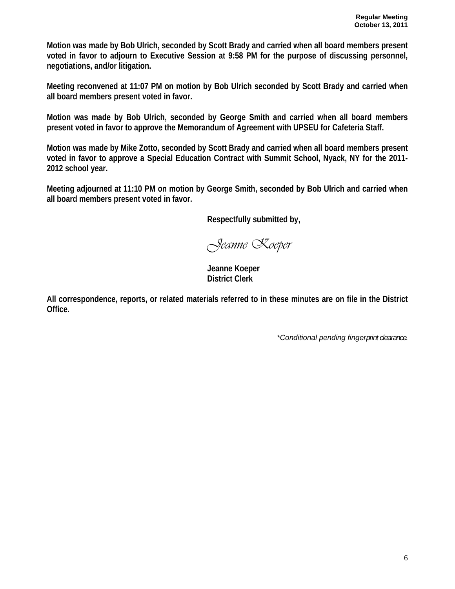**Motion was made by Bob Ulrich, seconded by Scott Brady and carried when all board members present voted in favor to adjourn to Executive Session at 9:58 PM for the purpose of discussing personnel, negotiations, and/or litigation.** 

**Meeting reconvened at 11:07 PM on motion by Bob Ulrich seconded by Scott Brady and carried when all board members present voted in favor.** 

**Motion was made by Bob Ulrich, seconded by George Smith and carried when all board members present voted in favor to approve the Memorandum of Agreement with UPSEU for Cafeteria Staff.** 

**Motion was made by Mike Zotto, seconded by Scott Brady and carried when all board members present voted in favor to approve a Special Education Contract with Summit School, Nyack, NY for the 2011- 2012 school year.** 

**Meeting adjourned at 11:10 PM on motion by George Smith, seconded by Bob Ulrich and carried when all board members present voted in favor.** 

 **Respectfully submitted by,** 

*Jeanne Koeper* 

 **Jeanne Koeper District Clerk** 

**All correspondence, reports, or related materials referred to in these minutes are on file in the District Office.** 

*\*Conditional pending fingerprint clearance.*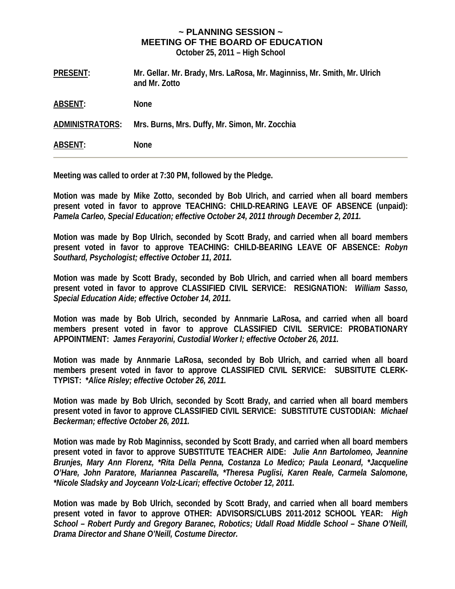## **~ PLANNING SESSION ~ MEETING OF THE BOARD OF EDUCATION**

**October 25, 2011 – High School** 

| <b>PRESENT:</b>        | Mr. Gellar. Mr. Brady, Mrs. LaRosa, Mr. Maginniss, Mr. Smith, Mr. Ulrich<br>and Mr. Zotto |
|------------------------|-------------------------------------------------------------------------------------------|
| ABSENT:                | <b>None</b>                                                                               |
| <b>ADMINISTRATORS:</b> | Mrs. Burns, Mrs. Duffy, Mr. Simon, Mr. Zocchia                                            |
| <b>ABSENT:</b>         | <b>None</b>                                                                               |

**Meeting was called to order at 7:30 PM, followed by the Pledge.** 

**Motion was made by Mike Zotto, seconded by Bob Ulrich, and carried when all board members present voted in favor to approve TEACHING: CHILD-REARING LEAVE OF ABSENCE (unpaid):**  *Pamela Carleo, Special Education; effective October 24, 2011 through December 2, 2011.* 

**Motion was made by Bop Ulrich, seconded by Scott Brady, and carried when all board members present voted in favor to approve TEACHING: CHILD-BEARING LEAVE OF ABSENCE:** *Robyn Southard, Psychologist; effective October 11, 2011.* 

**Motion was made by Scott Brady, seconded by Bob Ulrich, and carried when all board members present voted in favor to approve CLASSIFIED CIVIL SERVICE: RESIGNATION:** *William Sasso, Special Education Aide; effective October 14, 2011.* 

**Motion was made by Bob Ulrich, seconded by Annmarie LaRosa, and carried when all board members present voted in favor to approve CLASSIFIED CIVIL SERVICE: PROBATIONARY APPOINTMENT:** *James Ferayorini, Custodial Worker I; effective October 26, 2011.* 

**Motion was made by Annmarie LaRosa, seconded by Bob Ulrich, and carried when all board members present voted in favor to approve CLASSIFIED CIVIL SERVICE: SUBSITUTE CLERK-TYPIST: \****Alice Risley; effective October 26, 2011.*

**Motion was made by Bob Ulrich, seconded by Scott Brady, and carried when all board members present voted in favor to approve CLASSIFIED CIVIL SERVICE: SUBSTITUTE CUSTODIAN:** *Michael Beckerman; effective October 26, 2011.* 

**Motion was made by Rob Maginniss, seconded by Scott Brady, and carried when all board members present voted in favor to approve SUBSTITUTE TEACHER AIDE:** *Julie Ann Bartolomeo, Jeannine Brunjes, Mary Ann Florenz, \*Rita Della Penna, Costanza Lo Medico; Paula Leonard, \*Jacqueline O'Hare, John Paratore, Mariannea Pascarella, \*Theresa Puglisi, Karen Reale, Carmela Salomone, \*Nicole Sladsky and Joyceann Volz-Licari; effective October 12, 2011.* 

**Motion was made by Bob Ulrich, seconded by Scott Brady, and carried when all board members present voted in favor to approve OTHER: ADVISORS/CLUBS 2011-2012 SCHOOL YEAR:** *High School – Robert Purdy and Gregory Baranec, Robotics; Udall Road Middle School – Shane O'Neill, Drama Director and Shane O'Neill, Costume Director.*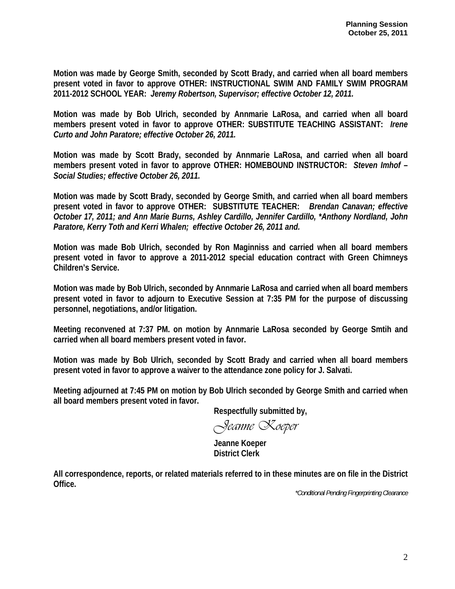**Motion was made by George Smith, seconded by Scott Brady, and carried when all board members present voted in favor to approve OTHER: INSTRUCTIONAL SWIM AND FAMILY SWIM PROGRAM 2011-2012 SCHOOL YEAR:** *Jeremy Robertson, Supervisor; effective October 12, 2011.* 

**Motion was made by Bob Ulrich, seconded by Annmarie LaRosa, and carried when all board members present voted in favor to approve OTHER: SUBSTITUTE TEACHING ASSISTANT:** *Irene Curto and John Paratore; effective October 26, 2011.* 

**Motion was made by Scott Brady, seconded by Annmarie LaRosa, and carried when all board members present voted in favor to approve OTHER: HOMEBOUND INSTRUCTOR:** *Steven Imhof – Social Studies; effective October 26, 2011.* 

**Motion was made by Scott Brady, seconded by George Smith, and carried when all board members present voted in favor to approve OTHER: SUBSTITUTE TEACHER:** *Brendan Canavan; effective October 17, 2011; and Ann Marie Burns, Ashley Cardillo, Jennifer Cardillo, \*Anthony Nordland, John Paratore, Kerry Toth and Kerri Whalen; effective October 26, 2011 and.* 

**Motion was made Bob Ulrich, seconded by Ron Maginniss and carried when all board members present voted in favor to approve a 2011-2012 special education contract with Green Chimneys Children's Service.** 

**Motion was made by Bob Ulrich, seconded by Annmarie LaRosa and carried when all board members present voted in favor to adjourn to Executive Session at 7:35 PM for the purpose of discussing personnel, negotiations, and/or litigation.** 

**Meeting reconvened at 7:37 PM. on motion by Annmarie LaRosa seconded by George Smtih and carried when all board members present voted in favor.** 

**Motion was made by Bob Ulrich, seconded by Scott Brady and carried when all board members present voted in favor to approve a waiver to the attendance zone policy for J. Salvati.** 

**Meeting adjourned at 7:45 PM on motion by Bob Ulrich seconded by George Smith and carried when all board members present voted in favor.** 

 **Respectfully submitted by,** 

*Jeanne Koeper* 

 **Jeanne Koeper District Clerk** 

**All correspondence, reports, or related materials referred to in these minutes are on file in the District Office.** 

*\*Conditional Pending Fingerprinting Clearance*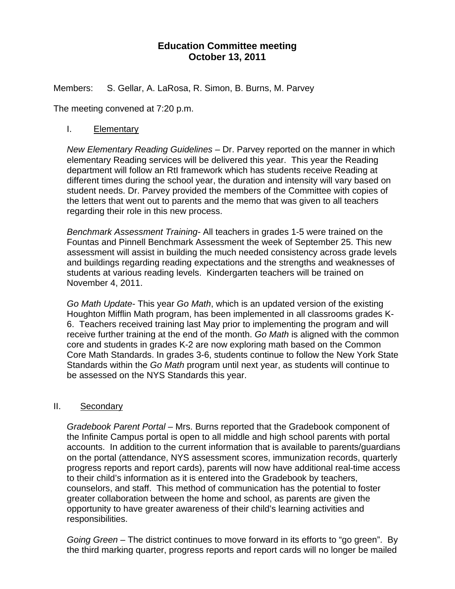## **Education Committee meeting October 13, 2011**

Members: S. Gellar, A. LaRosa, R. Simon, B. Burns, M. Parvey

The meeting convened at 7:20 p.m.

### I. Elementary

*New Elementary Reading Guidelines* – Dr. Parvey reported on the manner in which elementary Reading services will be delivered this year. This year the Reading department will follow an RtI framework which has students receive Reading at different times during the school year, the duration and intensity will vary based on student needs. Dr. Parvey provided the members of the Committee with copies of the letters that went out to parents and the memo that was given to all teachers regarding their role in this new process.

*Benchmark Assessment Training-* All teachers in grades 1-5 were trained on the Fountas and Pinnell Benchmark Assessment the week of September 25. This new assessment will assist in building the much needed consistency across grade levels and buildings regarding reading expectations and the strengths and weaknesses of students at various reading levels. Kindergarten teachers will be trained on November 4, 2011.

*Go Math Update-* This year *Go Math*, which is an updated version of the existing Houghton Mifflin Math program, has been implemented in all classrooms grades K-6. Teachers received training last May prior to implementing the program and will receive further training at the end of the month. *Go Math* is aligned with the common core and students in grades K-2 are now exploring math based on the Common Core Math Standards. In grades 3-6, students continue to follow the New York State Standards within the *Go Math* program until next year, as students will continue to be assessed on the NYS Standards this year.

#### II. Secondary

*Gradebook Parent Portal* – Mrs. Burns reported that the Gradebook component of the Infinite Campus portal is open to all middle and high school parents with portal accounts. In addition to the current information that is available to parents/guardians on the portal (attendance, NYS assessment scores, immunization records, quarterly progress reports and report cards), parents will now have additional real-time access to their child's information as it is entered into the Gradebook by teachers, counselors, and staff. This method of communication has the potential to foster greater collaboration between the home and school, as parents are given the opportunity to have greater awareness of their child's learning activities and responsibilities.

*Going Green* – The district continues to move forward in its efforts to "go green". By the third marking quarter, progress reports and report cards will no longer be mailed